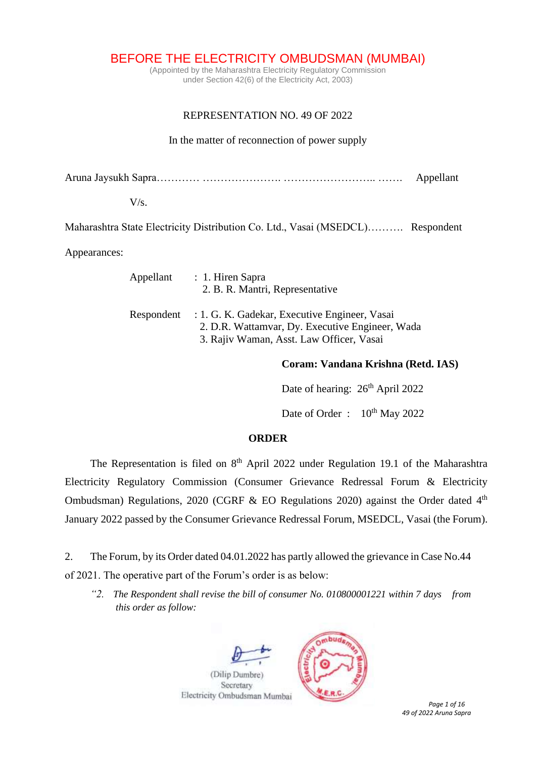BEFORE THE ELECTRICITY OMBUDSMAN (MUMBAI)

(Appointed by the Maharashtra Electricity Regulatory Commission under Section 42(6) of the Electricity Act, 2003)

# REPRESENTATION NO. 49 OF 2022

### In the matter of reconnection of power supply

Aruna Jaysukh Sapra………… …………………. …………………….. ……. Appellant

#### $V/s$ .

Maharashtra State Electricity Distribution Co. Ltd., Vasai (MSEDCL)………. Respondent

Appearances:

| Appellant : 1. Hiren Sapra<br>2. B. R. Mantri, Representative                                                                                           |
|---------------------------------------------------------------------------------------------------------------------------------------------------------|
| Respondent : 1. G. K. Gadekar, Executive Engineer, Vasai<br>2. D.R. Wattamvar, Dy. Executive Engineer, Wada<br>3. Rajiv Waman, Asst. Law Officer, Vasai |

## **Coram: Vandana Krishna (Retd. IAS)**

Date of hearing:  $26<sup>th</sup>$  April 2022

Date of Order :  $10^{th}$  May 2022

#### **ORDER**

The Representation is filed on  $8<sup>th</sup>$  April 2022 under Regulation 19.1 of the Maharashtra Electricity Regulatory Commission (Consumer Grievance Redressal Forum & Electricity Ombudsman) Regulations, 2020 (CGRF & EO Regulations 2020) against the Order dated  $4<sup>th</sup>$ January 2022 passed by the Consumer Grievance Redressal Forum, MSEDCL, Vasai (the Forum).

2. The Forum, by its Order dated 04.01.2022 has partly allowed the grievance in Case No.44 of 2021. The operative part of the Forum's order is as below:

*"2. The Respondent shall revise the bill of consumer No. 010800001221 within 7 days from this order as follow:*



*49 of 2022 Aruna Sapra*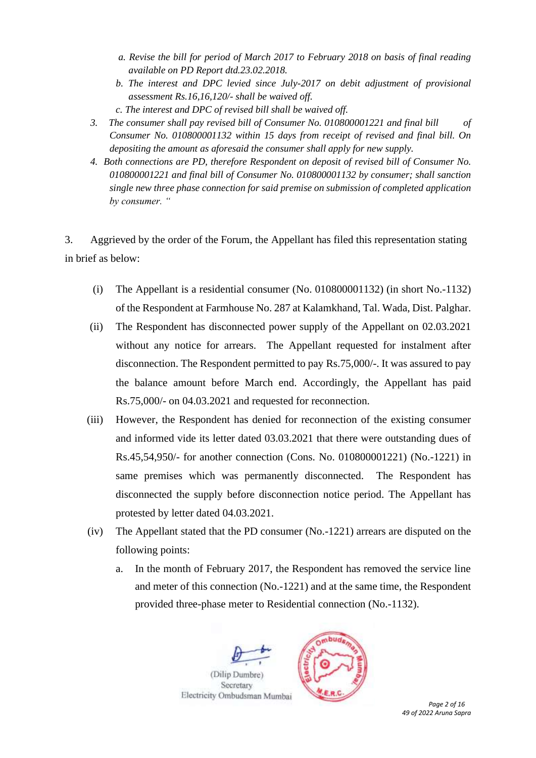- *a. Revise the bill for period of March 2017 to February 2018 on basis of final reading available on PD Report dtd.23.02.2018.*
- *b. The interest and DPC levied since July-2017 on debit adjustment of provisional assessment Rs.16,16,120/- shall be waived off.*
- *c. The interest and DPC of revised bill shall be waived off.*
- *3. The consumer shall pay revised bill of Consumer No. 010800001221 and final bill of Consumer No. 010800001132 within 15 days from receipt of revised and final bill. On depositing the amount as aforesaid the consumer shall apply for new supply.*
- *4. Both connections are PD, therefore Respondent on deposit of revised bill of Consumer No. 010800001221 and final bill of Consumer No. 010800001132 by consumer; shall sanction single new three phase connection for said premise on submission of completed application by consumer. "*

3. Aggrieved by the order of the Forum, the Appellant has filed this representation stating in brief as below:

- (i) The Appellant is a residential consumer (No. 010800001132) (in short No.-1132) of the Respondent at Farmhouse No. 287 at Kalamkhand, Tal. Wada, Dist. Palghar.
- (ii) The Respondent has disconnected power supply of the Appellant on 02.03.2021 without any notice for arrears. The Appellant requested for instalment after disconnection. The Respondent permitted to pay Rs.75,000/-. It was assured to pay the balance amount before March end. Accordingly, the Appellant has paid Rs.75,000/- on 04.03.2021 and requested for reconnection.
- (iii) However, the Respondent has denied for reconnection of the existing consumer and informed vide its letter dated 03.03.2021 that there were outstanding dues of Rs.45,54,950/- for another connection (Cons. No. 010800001221) (No.-1221) in same premises which was permanently disconnected. The Respondent has disconnected the supply before disconnection notice period. The Appellant has protested by letter dated 04.03.2021.
- (iv) The Appellant stated that the PD consumer (No.-1221) arrears are disputed on the following points:
	- a. In the month of February 2017, the Respondent has removed the service line and meter of this connection (No.-1221) and at the same time, the Respondent provided three-phase meter to Residential connection (No.-1132).

(Dilip Dumbre

Secretary



 *Page 2 of 16 49 of 2022 Aruna Sapra*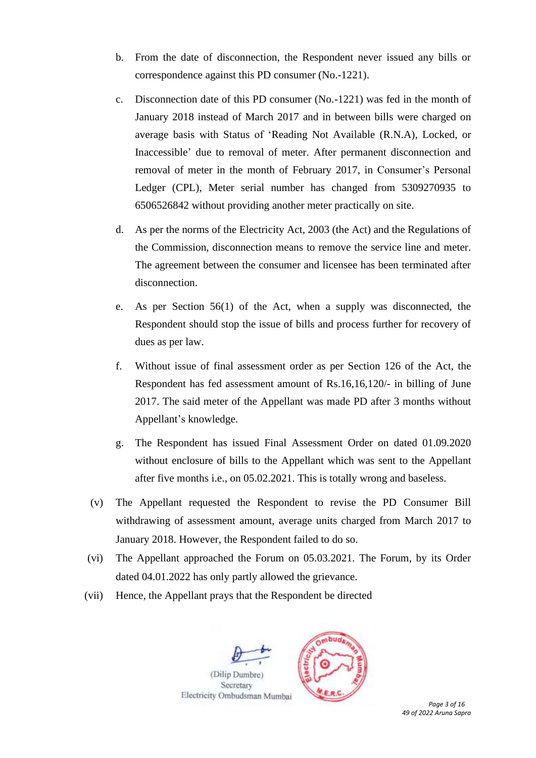- b. From the date of disconnection, the Respondent never issued any bills or correspondence against this PD consumer (No.-1221).
- c. Disconnection date of this PD consumer (No.-1221) was fed in the month of January 2018 instead of March 2017 and in between bills were charged on average basis with Status of 'Reading Not Available (R.N.A), Locked, or Inaccessible' due to removal of meter. After permanent disconnection and removal of meter in the month of February 2017, in Consumer's Personal Ledger (CPL), Meter serial number has changed from 5309270935 to 6506526842 without providing another meter practically on site.
- d. As per the norms of the Electricity Act, 2003 (the Act) and the Regulations of the Commission, disconnection means to remove the service line and meter. The agreement between the consumer and licensee has been terminated after disconnection.
- e. As per Section 56(1) of the Act, when a supply was disconnected, the Respondent should stop the issue of bills and process further for recovery of dues as per law.
- f. Without issue of final assessment order as per Section 126 of the Act, the Respondent has fed assessment amount of Rs.16,16,120/- in billing of June 2017. The said meter of the Appellant was made PD after 3 months without Appellant's knowledge.
- g. The Respondent has issued Final Assessment Order on dated 01.09.2020 without enclosure of bills to the Appellant which was sent to the Appellant after five months i.e., on 05.02.2021. This is totally wrong and baseless.
- (v) The Appellant requested the Respondent to revise the PD Consumer Bill withdrawing of assessment amount, average units charged from March 2017 to January 2018. However, the Respondent failed to do so.
- (vi) The Appellant approached the Forum on 05.03.2021. The Forum, by its Order dated 04.01.2022 has only partly allowed the grievance.
- (vii) Hence, the Appellant prays that the Respondent be directed



Secretary



 *Page 3 of 16 49 of 2022 Aruna Sapra*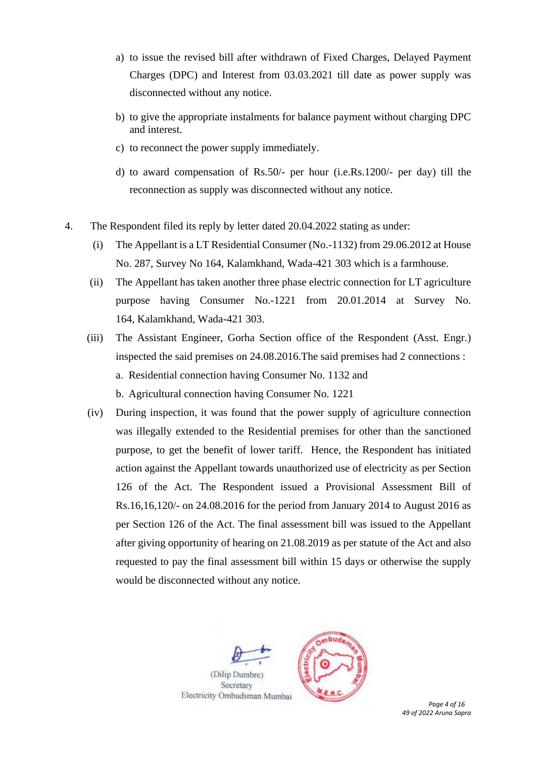- a) to issue the revised bill after withdrawn of Fixed Charges, Delayed Payment Charges (DPC) and Interest from 03.03.2021 till date as power supply was disconnected without any notice.
- b) to give the appropriate instalments for balance payment without charging DPC and interest.
- c) to reconnect the power supply immediately.
- d) to award compensation of Rs.50/- per hour (i.e.Rs.1200/- per day) till the reconnection as supply was disconnected without any notice.
- 4. The Respondent filed its reply by letter dated 20.04.2022 stating as under:
	- (i) The Appellant is a LT Residential Consumer (No.-1132) from 29.06.2012 at House No. 287, Survey No 164, Kalamkhand, Wada-421 303 which is a farmhouse.
	- (ii) The Appellant has taken another three phase electric connection for LT agriculture purpose having Consumer No.-1221 from 20.01.2014 at Survey No. 164, Kalamkhand, Wada-421 303.
	- (iii) The Assistant Engineer, Gorha Section office of the Respondent (Asst. Engr.) inspected the said premises on 24.08.2016.The said premises had 2 connections : a. Residential connection having Consumer No. 1132 and b. Agricultural connection having Consumer No. 1221
	- (iv) During inspection, it was found that the power supply of agriculture connection was illegally extended to the Residential premises for other than the sanctioned purpose, to get the benefit of lower tariff. Hence, the Respondent has initiated action against the Appellant towards unauthorized use of electricity as per Section 126 of the Act. The Respondent issued a Provisional Assessment Bill of Rs.16,16,120/- on 24.08.2016 for the period from January 2014 to August 2016 as per Section 126 of the Act. The final assessment bill was issued to the Appellant after giving opportunity of hearing on 21.08.2019 as per statute of the Act and also requested to pay the final assessment bill within 15 days or otherwise the supply would be disconnected without any notice.



 *Page 4 of 16 49 of 2022 Aruna Sapra*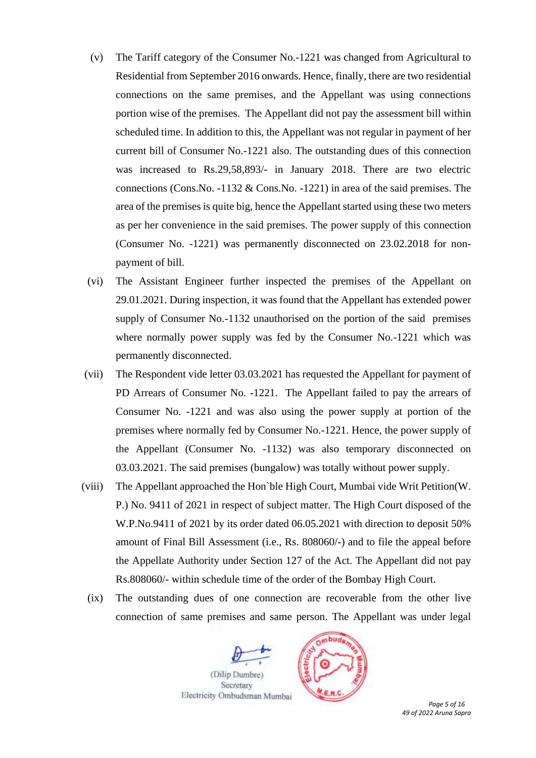- (v) The Tariff category of the Consumer No.-1221 was changed from Agricultural to Residential from September 2016 onwards. Hence, finally, there are two residential connections on the same premises, and the Appellant was using connections portion wise of the premises. The Appellant did not pay the assessment bill within scheduled time. In addition to this, the Appellant was not regular in payment of her current bill of Consumer No.-1221 also. The outstanding dues of this connection was increased to Rs.29,58,893/- in January 2018. There are two electric connections (Cons.No. -1132 & Cons.No. -1221) in area of the said premises. The area of the premises is quite big, hence the Appellant started using these two meters as per her convenience in the said premises. The power supply of this connection (Consumer No. -1221) was permanently disconnected on 23.02.2018 for nonpayment of bill.
- (vi) The Assistant Engineer further inspected the premises of the Appellant on 29.01.2021. During inspection, it was found that the Appellant has extended power supply of Consumer No.-1132 unauthorised on the portion of the said premises where normally power supply was fed by the Consumer No.-1221 which was permanently disconnected.
- (vii) The Respondent vide letter 03.03.2021 has requested the Appellant for payment of PD Arrears of Consumer No. -1221. The Appellant failed to pay the arrears of Consumer No. -1221 and was also using the power supply at portion of the premises where normally fed by Consumer No.-1221. Hence, the power supply of the Appellant (Consumer No. -1132) was also temporary disconnected on 03.03.2021. The said premises (bungalow) was totally without power supply.
- (viii) The Appellant approached the Hon`ble High Court, Mumbai vide Writ Petition(W. P.) No. 9411 of 2021 in respect of subject matter. The High Court disposed of the W.P.No.9411 of 2021 by its order dated 06.05.2021 with direction to deposit 50% amount of Final Bill Assessment (i.e., Rs. 808060/-) and to file the appeal before the Appellate Authority under Section 127 of the Act. The Appellant did not pay Rs.808060/- within schedule time of the order of the Bombay High Court.
	- (ix) The outstanding dues of one connection are recoverable from the other live connection of same premises and same person. The Appellant was under legal

(Dilip Dumbre Secretary



*49 of 2022 Aruna Sapra*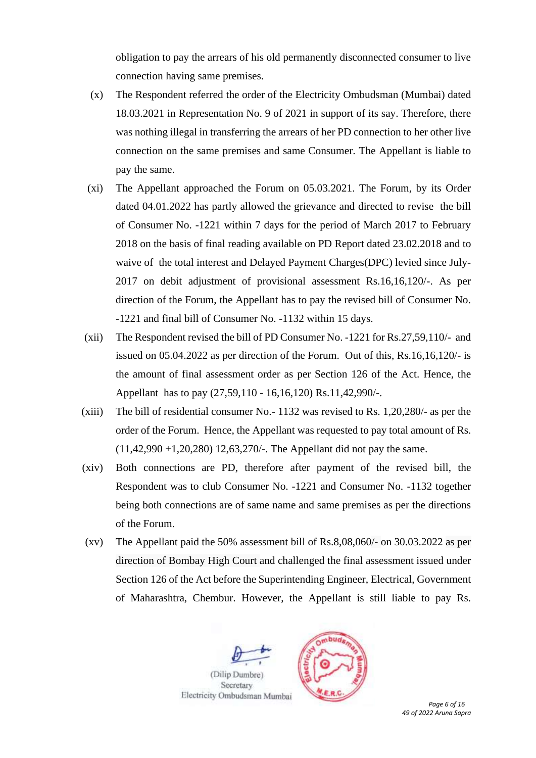obligation to pay the arrears of his old permanently disconnected consumer to live connection having same premises.

- (x) The Respondent referred the order of the Electricity Ombudsman (Mumbai) dated 18.03.2021 in Representation No. 9 of 2021 in support of its say. Therefore, there was nothing illegal in transferring the arrears of her PD connection to her other live connection on the same premises and same Consumer. The Appellant is liable to pay the same.
- (xi) The Appellant approached the Forum on 05.03.2021. The Forum, by its Order dated 04.01.2022 has partly allowed the grievance and directed to revise the bill of Consumer No. -1221 within 7 days for the period of March 2017 to February 2018 on the basis of final reading available on PD Report dated 23.02.2018 and to waive of the total interest and Delayed Payment Charges(DPC) levied since July-2017 on debit adjustment of provisional assessment Rs.16,16,120/-. As per direction of the Forum, the Appellant has to pay the revised bill of Consumer No. -1221 and final bill of Consumer No. -1132 within 15 days.
- (xii) The Respondent revised the bill of PD Consumer No. -1221 for Rs.27,59,110/- and issued on 05.04.2022 as per direction of the Forum. Out of this, Rs.16,16,120/- is the amount of final assessment order as per Section 126 of the Act. Hence, the Appellant has to pay (27,59,110 - 16,16,120) Rs.11,42,990/-.
- (xiii) The bill of residential consumer No.- 1132 was revised to Rs. 1,20,280/- as per the order of the Forum. Hence, the Appellant was requested to pay total amount of Rs.  $(11,42,990 +1,20,280)$  12,63,270/-. The Appellant did not pay the same.
- (xiv) Both connections are PD, therefore after payment of the revised bill, the Respondent was to club Consumer No. -1221 and Consumer No. -1132 together being both connections are of same name and same premises as per the directions of the Forum.
- (xv) The Appellant paid the 50% assessment bill of Rs.8,08,060/- on 30.03.2022 as per direction of Bombay High Court and challenged the final assessment issued under Section 126 of the Act before the Superintending Engineer, Electrical, Government of Maharashtra, Chembur. However, the Appellant is still liable to pay Rs.



*49 of 2022 Aruna Sapra*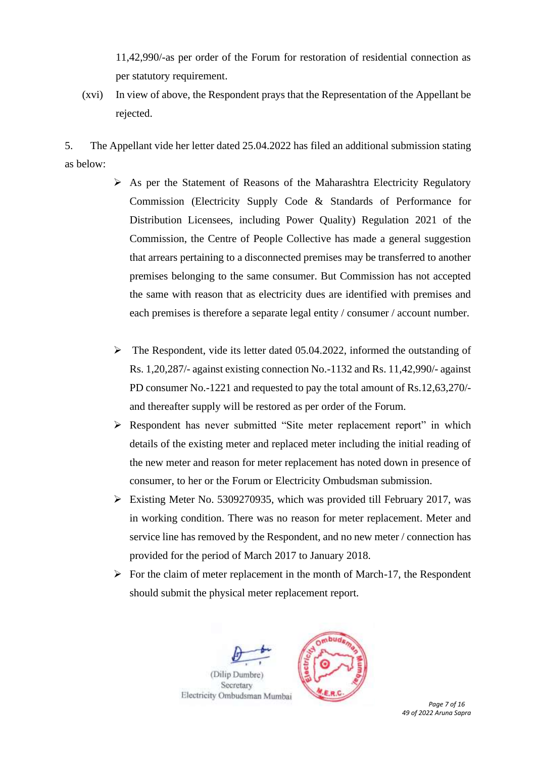11,42,990/-as per order of the Forum for restoration of residential connection as per statutory requirement.

(xvi) In view of above, the Respondent prays that the Representation of the Appellant be rejected.

5. The Appellant vide her letter dated 25.04.2022 has filed an additional submission stating as below:

- ➢ As per the Statement of Reasons of the Maharashtra Electricity Regulatory Commission (Electricity Supply Code & Standards of Performance for Distribution Licensees, including Power Quality) Regulation 2021 of the Commission, the Centre of People Collective has made a general suggestion that arrears pertaining to a disconnected premises may be transferred to another premises belonging to the same consumer. But Commission has not accepted the same with reason that as electricity dues are identified with premises and each premises is therefore a separate legal entity / consumer / account number.
- ➢ The Respondent, vide its letter dated 05.04.2022, informed the outstanding of Rs. 1,20,287/- against existing connection No.-1132 and Rs. 11,42,990/- against PD consumer No.-1221 and requested to pay the total amount of Rs.12,63,270/ and thereafter supply will be restored as per order of the Forum.
- ➢ Respondent has never submitted "Site meter replacement report" in which details of the existing meter and replaced meter including the initial reading of the new meter and reason for meter replacement has noted down in presence of consumer, to her or the Forum or Electricity Ombudsman submission.
- ➢ Existing Meter No. 5309270935, which was provided till February 2017, was in working condition. There was no reason for meter replacement. Meter and service line has removed by the Respondent, and no new meter / connection has provided for the period of March 2017 to January 2018.
- $\triangleright$  For the claim of meter replacement in the month of March-17, the Respondent should submit the physical meter replacement report.

(Dilip Dumbre

Secretary



 *Page 7 of 16 49 of 2022 Aruna Sapra*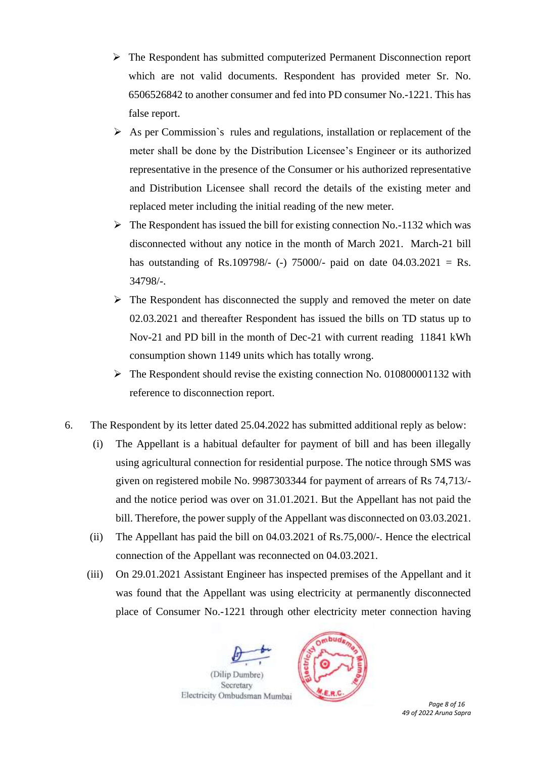- ➢ The Respondent has submitted computerized Permanent Disconnection report which are not valid documents. Respondent has provided meter Sr. No. 6506526842 to another consumer and fed into PD consumer No.-1221. This has false report.
- ➢ As per Commission`s rules and regulations, installation or replacement of the meter shall be done by the Distribution Licensee's Engineer or its authorized representative in the presence of the Consumer or his authorized representative and Distribution Licensee shall record the details of the existing meter and replaced meter including the initial reading of the new meter.
- $\triangleright$  The Respondent has issued the bill for existing connection No.-1132 which was disconnected without any notice in the month of March 2021. March-21 bill has outstanding of Rs.109798/- (-) 75000/- paid on date  $04.03.2021 =$  Rs. 34798/-.
- ➢ The Respondent has disconnected the supply and removed the meter on date 02.03.2021 and thereafter Respondent has issued the bills on TD status up to Nov-21 and PD bill in the month of Dec-21 with current reading 11841 kWh consumption shown 1149 units which has totally wrong.
- ➢ The Respondent should revise the existing connection No. 010800001132 with reference to disconnection report.
- 6. The Respondent by its letter dated 25.04.2022 has submitted additional reply as below:
	- (i) The Appellant is a habitual defaulter for payment of bill and has been illegally using agricultural connection for residential purpose. The notice through SMS was given on registered mobile No. 9987303344 for payment of arrears of Rs 74,713/ and the notice period was over on 31.01.2021. But the Appellant has not paid the bill. Therefore, the power supply of the Appellant was disconnected on 03.03.2021.
	- (ii) The Appellant has paid the bill on 04.03.2021 of Rs.75,000/-. Hence the electrical connection of the Appellant was reconnected on 04.03.2021.
	- (iii) On 29.01.2021 Assistant Engineer has inspected premises of the Appellant and it was found that the Appellant was using electricity at permanently disconnected place of Consumer No.-1221 through other electricity meter connection having



*49 of 2022 Aruna Sapra*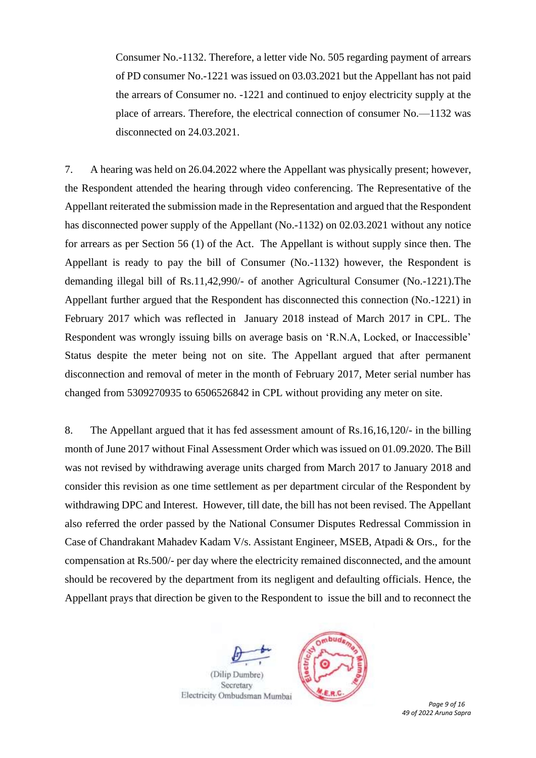Consumer No.-1132. Therefore, a letter vide No. 505 regarding payment of arrears of PD consumer No.-1221 was issued on 03.03.2021 but the Appellant has not paid the arrears of Consumer no. -1221 and continued to enjoy electricity supply at the place of arrears. Therefore, the electrical connection of consumer No.—1132 was disconnected on 24.03.2021.

7. A hearing was held on 26.04.2022 where the Appellant was physically present; however, the Respondent attended the hearing through video conferencing. The Representative of the Appellant reiterated the submission made in the Representation and argued that the Respondent has disconnected power supply of the Appellant (No.-1132) on 02.03.2021 without any notice for arrears as per Section 56 (1) of the Act. The Appellant is without supply since then. The Appellant is ready to pay the bill of Consumer (No.-1132) however, the Respondent is demanding illegal bill of Rs.11,42,990/- of another Agricultural Consumer (No.-1221).The Appellant further argued that the Respondent has disconnected this connection (No.-1221) in February 2017 which was reflected in January 2018 instead of March 2017 in CPL. The Respondent was wrongly issuing bills on average basis on 'R.N.A, Locked, or Inaccessible' Status despite the meter being not on site. The Appellant argued that after permanent disconnection and removal of meter in the month of February 2017, Meter serial number has changed from 5309270935 to 6506526842 in CPL without providing any meter on site.

8. The Appellant argued that it has fed assessment amount of Rs.16,16,120/- in the billing month of June 2017 without Final Assessment Order which was issued on 01.09.2020. The Bill was not revised by withdrawing average units charged from March 2017 to January 2018 and consider this revision as one time settlement as per department circular of the Respondent by withdrawing DPC and Interest. However, till date, the bill has not been revised. The Appellant also referred the order passed by the National Consumer Disputes Redressal Commission in Case of Chandrakant Mahadev Kadam V/s. Assistant Engineer, MSEB, Atpadi & Ors., for the compensation at Rs.500/- per day where the electricity remained disconnected, and the amount should be recovered by the department from its negligent and defaulting officials. Hence, the Appellant prays that direction be given to the Respondent to issue the bill and to reconnect the

(Dilip Dumbre Secretary



 *Page 9 of 16 49 of 2022 Aruna Sapra*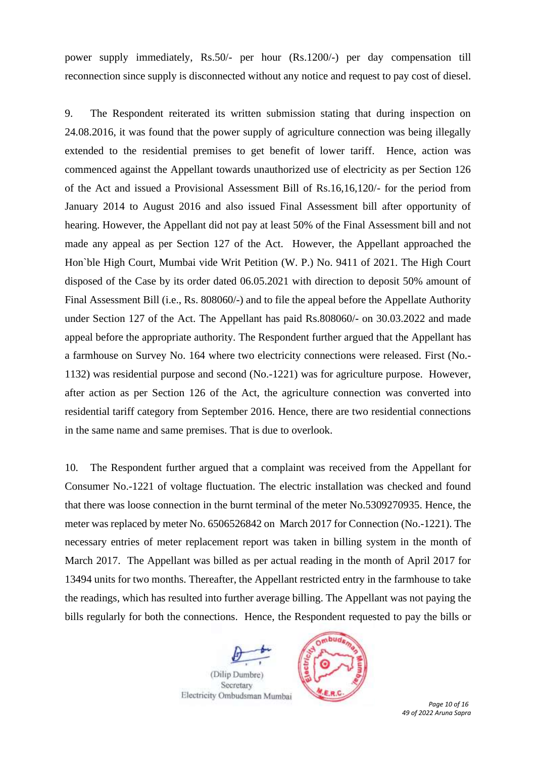power supply immediately, Rs.50/- per hour (Rs.1200/-) per day compensation till reconnection since supply is disconnected without any notice and request to pay cost of diesel.

9. The Respondent reiterated its written submission stating that during inspection on 24.08.2016, it was found that the power supply of agriculture connection was being illegally extended to the residential premises to get benefit of lower tariff. Hence, action was commenced against the Appellant towards unauthorized use of electricity as per Section 126 of the Act and issued a Provisional Assessment Bill of Rs.16,16,120/- for the period from January 2014 to August 2016 and also issued Final Assessment bill after opportunity of hearing. However, the Appellant did not pay at least 50% of the Final Assessment bill and not made any appeal as per Section 127 of the Act. However, the Appellant approached the Hon`ble High Court, Mumbai vide Writ Petition (W. P.) No. 9411 of 2021. The High Court disposed of the Case by its order dated 06.05.2021 with direction to deposit 50% amount of Final Assessment Bill (i.e., Rs. 808060/-) and to file the appeal before the Appellate Authority under Section 127 of the Act. The Appellant has paid Rs.808060/- on 30.03.2022 and made appeal before the appropriate authority. The Respondent further argued that the Appellant has a farmhouse on Survey No. 164 where two electricity connections were released. First (No.- 1132) was residential purpose and second (No.-1221) was for agriculture purpose. However, after action as per Section 126 of the Act, the agriculture connection was converted into residential tariff category from September 2016. Hence, there are two residential connections in the same name and same premises. That is due to overlook.

10. The Respondent further argued that a complaint was received from the Appellant for Consumer No.-1221 of voltage fluctuation. The electric installation was checked and found that there was loose connection in the burnt terminal of the meter No.5309270935. Hence, the meter was replaced by meter No. 6506526842 on March 2017 for Connection (No.-1221). The necessary entries of meter replacement report was taken in billing system in the month of March 2017. The Appellant was billed as per actual reading in the month of April 2017 for 13494 units for two months. Thereafter, the Appellant restricted entry in the farmhouse to take the readings, which has resulted into further average billing. The Appellant was not paying the bills regularly for both the connections. Hence, the Respondent requested to pay the bills or

(Dilip Dumbre) Secretary



 *Page 10 of 16 49 of 2022 Aruna Sapra*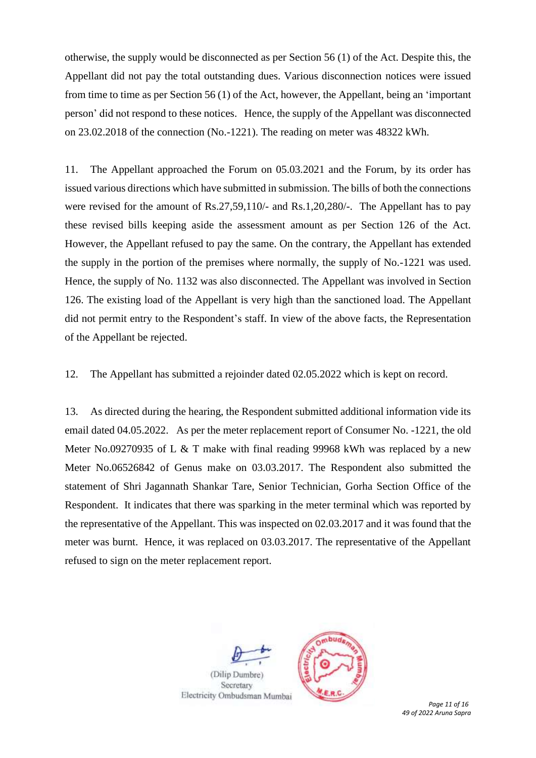otherwise, the supply would be disconnected as per Section 56 (1) of the Act. Despite this, the Appellant did not pay the total outstanding dues. Various disconnection notices were issued from time to time as per Section 56 (1) of the Act, however, the Appellant, being an 'important person' did not respond to these notices. Hence, the supply of the Appellant was disconnected on 23.02.2018 of the connection (No.-1221). The reading on meter was 48322 kWh.

11. The Appellant approached the Forum on 05.03.2021 and the Forum, by its order has issued various directions which have submitted in submission. The bills of both the connections were revised for the amount of Rs.27,59,110/- and Rs.1,20,280/-. The Appellant has to pay these revised bills keeping aside the assessment amount as per Section 126 of the Act. However, the Appellant refused to pay the same. On the contrary, the Appellant has extended the supply in the portion of the premises where normally, the supply of No.-1221 was used. Hence, the supply of No. 1132 was also disconnected. The Appellant was involved in Section 126. The existing load of the Appellant is very high than the sanctioned load. The Appellant did not permit entry to the Respondent's staff. In view of the above facts, the Representation of the Appellant be rejected.

12. The Appellant has submitted a rejoinder dated 02.05.2022 which is kept on record.

13. As directed during the hearing, the Respondent submitted additional information vide its email dated 04.05.2022. As per the meter replacement report of Consumer No. -1221, the old Meter No.09270935 of L & T make with final reading 99968 kWh was replaced by a new Meter No.06526842 of Genus make on 03.03.2017. The Respondent also submitted the statement of Shri Jagannath Shankar Tare, Senior Technician, Gorha Section Office of the Respondent. It indicates that there was sparking in the meter terminal which was reported by the representative of the Appellant. This was inspected on 02.03.2017 and it was found that the meter was burnt. Hence, it was replaced on 03.03.2017. The representative of the Appellant refused to sign on the meter replacement report.



 *Page 11 of 16 49 of 2022 Aruna Sapra*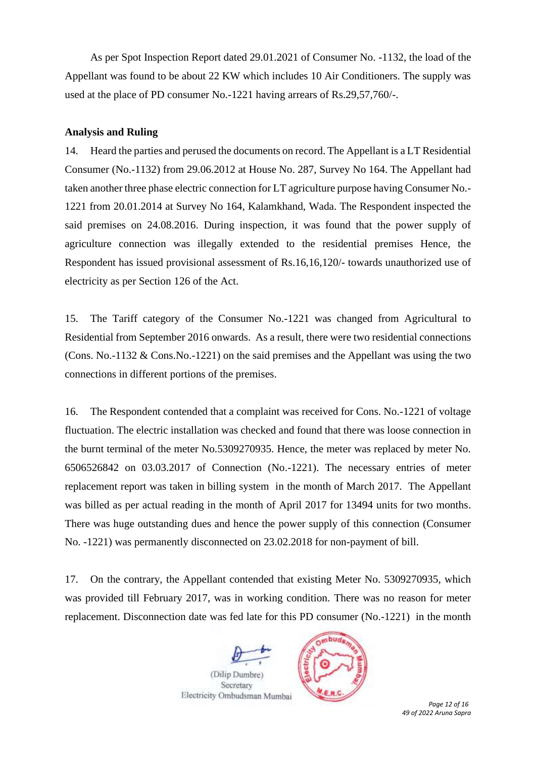As per Spot Inspection Report dated 29.01.2021 of Consumer No. -1132, the load of the Appellant was found to be about 22 KW which includes 10 Air Conditioners. The supply was used at the place of PD consumer No.-1221 having arrears of Rs.29,57,760/-.

## **Analysis and Ruling**

14. Heard the parties and perused the documents on record. The Appellant is a LT Residential Consumer (No.-1132) from 29.06.2012 at House No. 287, Survey No 164. The Appellant had taken another three phase electric connection for LT agriculture purpose having Consumer No.- 1221 from 20.01.2014 at Survey No 164, Kalamkhand, Wada. The Respondent inspected the said premises on 24.08.2016. During inspection, it was found that the power supply of agriculture connection was illegally extended to the residential premises Hence, the Respondent has issued provisional assessment of Rs.16,16,120/- towards unauthorized use of electricity as per Section 126 of the Act.

15. The Tariff category of the Consumer No.-1221 was changed from Agricultural to Residential from September 2016 onwards. As a result, there were two residential connections (Cons. No.-1132 & Cons.No.-1221) on the said premises and the Appellant was using the two connections in different portions of the premises.

16. The Respondent contended that a complaint was received for Cons. No.-1221 of voltage fluctuation. The electric installation was checked and found that there was loose connection in the burnt terminal of the meter No.5309270935. Hence, the meter was replaced by meter No. 6506526842 on 03.03.2017 of Connection (No.-1221). The necessary entries of meter replacement report was taken in billing system in the month of March 2017. The Appellant was billed as per actual reading in the month of April 2017 for 13494 units for two months. There was huge outstanding dues and hence the power supply of this connection (Consumer No. -1221) was permanently disconnected on 23.02.2018 for non-payment of bill.

17. On the contrary, the Appellant contended that existing Meter No. 5309270935, which was provided till February 2017, was in working condition. There was no reason for meter replacement. Disconnection date was fed late for this PD consumer (No.-1221) in the month

(Dilip Dumbre Secretary



 *Page 12 of 16 49 of 2022 Aruna Sapra*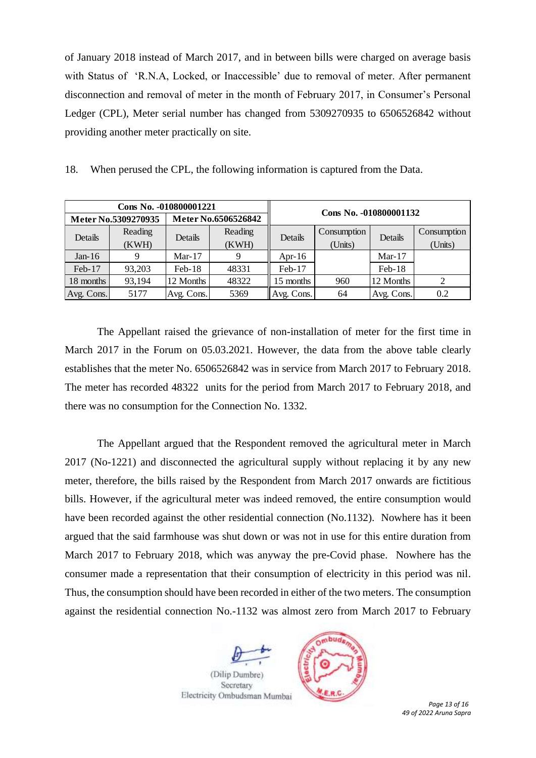of January 2018 instead of March 2017, and in between bills were charged on average basis with Status of 'R.N.A, Locked, or Inaccessible' due to removal of meter. After permanent disconnection and removal of meter in the month of February 2017, in Consumer's Personal Ledger (CPL), Meter serial number has changed from 5309270935 to 6506526842 without providing another meter practically on site.

|  | 18. When perused the CPL, the following information is captured from the Data. |  |  |  |  |  |
|--|--------------------------------------------------------------------------------|--|--|--|--|--|
|  |                                                                                |  |  |  |  |  |

|            | Cons No. -010800001221<br>Meter No.5309270935 |            | Meter No.6506526842 | Cons No. -010800001132            |     |            |                        |  |
|------------|-----------------------------------------------|------------|---------------------|-----------------------------------|-----|------------|------------------------|--|
| Details    | Reading<br>(KWH)                              | Details    | Reading<br>(KWH)    | Consumption<br>Details<br>(Units) |     | Details    | Consumption<br>(Units) |  |
| Jan- $16$  |                                               | Mar-17     | 9                   | Apr-16                            |     | Mar- $17$  |                        |  |
| Feb-17     | 93,203                                        | $Feb-18$   | 48331               | Feb-17                            |     | $Feb-18$   |                        |  |
| 18 months  | 93,194                                        | 12 Months  | 48322               | 15 months                         | 960 | 12 Months  |                        |  |
| Avg. Cons. | 5177                                          | Avg. Cons. | 5369                | Avg. Cons.                        | 64  | Avg. Cons. | 0.2                    |  |

The Appellant raised the grievance of non-installation of meter for the first time in March 2017 in the Forum on 05.03.2021. However, the data from the above table clearly establishes that the meter No. 6506526842 was in service from March 2017 to February 2018. The meter has recorded 48322 units for the period from March 2017 to February 2018, and there was no consumption for the Connection No. 1332.

The Appellant argued that the Respondent removed the agricultural meter in March 2017 (No-1221) and disconnected the agricultural supply without replacing it by any new meter, therefore, the bills raised by the Respondent from March 2017 onwards are fictitious bills. However, if the agricultural meter was indeed removed, the entire consumption would have been recorded against the other residential connection (No.1132). Nowhere has it been argued that the said farmhouse was shut down or was not in use for this entire duration from March 2017 to February 2018, which was anyway the pre-Covid phase. Nowhere has the consumer made a representation that their consumption of electricity in this period was nil. Thus, the consumption should have been recorded in either of the two meters. The consumption against the residential connection No.-1132 was almost zero from March 2017 to February

(Dilip Dumbre) Secretary



 *Page 13 of 16 49 of 2022 Aruna Sapra*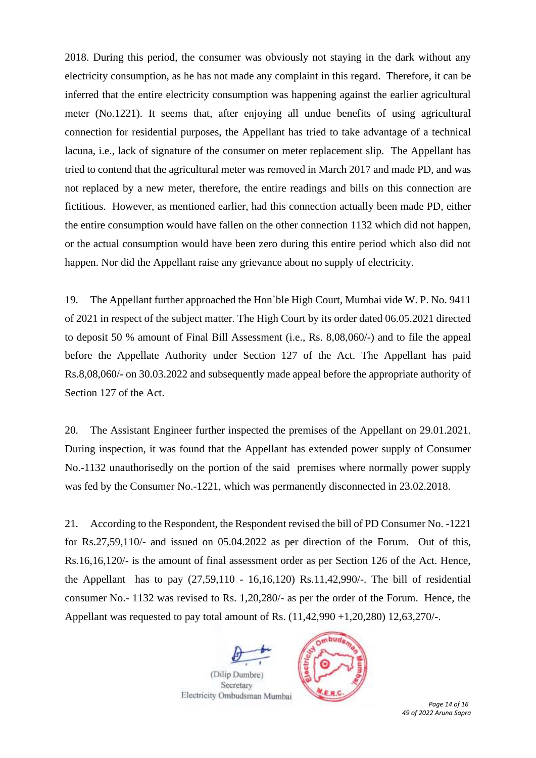2018. During this period, the consumer was obviously not staying in the dark without any electricity consumption, as he has not made any complaint in this regard. Therefore, it can be inferred that the entire electricity consumption was happening against the earlier agricultural meter (No.1221). It seems that, after enjoying all undue benefits of using agricultural connection for residential purposes, the Appellant has tried to take advantage of a technical lacuna, i.e., lack of signature of the consumer on meter replacement slip. The Appellant has tried to contend that the agricultural meter was removed in March 2017 and made PD, and was not replaced by a new meter, therefore, the entire readings and bills on this connection are fictitious. However, as mentioned earlier, had this connection actually been made PD, either the entire consumption would have fallen on the other connection 1132 which did not happen, or the actual consumption would have been zero during this entire period which also did not happen. Nor did the Appellant raise any grievance about no supply of electricity.

19. The Appellant further approached the Hon`ble High Court, Mumbai vide W. P. No. 9411 of 2021 in respect of the subject matter. The High Court by its order dated 06.05.2021 directed to deposit 50 % amount of Final Bill Assessment (i.e., Rs. 8,08,060/-) and to file the appeal before the Appellate Authority under Section 127 of the Act. The Appellant has paid Rs.8,08,060/- on 30.03.2022 and subsequently made appeal before the appropriate authority of Section 127 of the Act.

20. The Assistant Engineer further inspected the premises of the Appellant on 29.01.2021. During inspection, it was found that the Appellant has extended power supply of Consumer No.-1132 unauthorisedly on the portion of the said premises where normally power supply was fed by the Consumer No.-1221, which was permanently disconnected in 23.02.2018.

21. According to the Respondent, the Respondent revised the bill of PD Consumer No. -1221 for Rs.27,59,110/- and issued on 05.04.2022 as per direction of the Forum. Out of this, Rs.16,16,120/- is the amount of final assessment order as per Section 126 of the Act. Hence, the Appellant has to pay  $(27,59,110 - 16,16,120)$  Rs.11,42,990/-. The bill of residential consumer No.- 1132 was revised to Rs. 1,20,280/- as per the order of the Forum. Hence, the Appellant was requested to pay total amount of Rs. (11,42,990 +1,20,280) 12,63,270/-.

(Dilip Dumbre) Secretary



 *Page 14 of 16 49 of 2022 Aruna Sapra*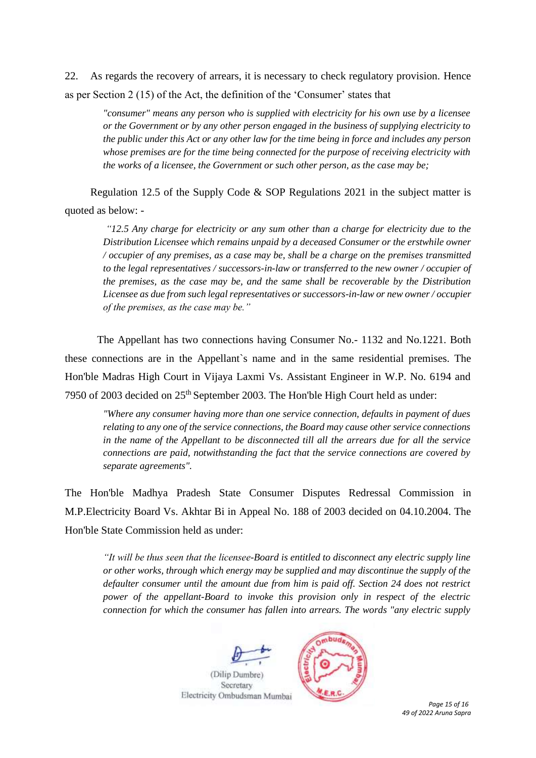22. As regards the recovery of arrears, it is necessary to check regulatory provision. Hence as per Section 2 (15) of the Act, the definition of the 'Consumer' states that

*"consumer" means any person who is supplied with electricity for his own use by a licensee or the Government or by any other person engaged in the business of supplying electricity to the public under this Act or any other law for the time being in force and includes any person whose premises are for the time being connected for the purpose of receiving electricity with the works of a licensee, the Government or such other person, as the case may be;*

Regulation 12.5 of the Supply Code & SOP Regulations 2021 in the subject matter is quoted as below: -

*"12.5 Any charge for electricity or any sum other than a charge for electricity due to the Distribution Licensee which remains unpaid by a deceased Consumer or the erstwhile owner / occupier of any premises, as a case may be, shall be a charge on the premises transmitted to the legal representatives / successors-in-law or transferred to the new owner / occupier of the premises, as the case may be, and the same shall be recoverable by the Distribution Licensee as due from such legal representatives or successors-in-law or new owner / occupier of the premises, as the case may be."* 

The Appellant has two connections having Consumer No.- 1132 and No.1221. Both these connections are in the Appellant`s name and in the same residential premises. The Hon'ble Madras High Court in Vijaya Laxmi Vs. Assistant Engineer in W.P. No. 6194 and 7950 of 2003 decided on 25th September 2003. The Hon'ble High Court held as under:

*"Where any consumer having more than one service connection, defaults in payment of dues relating to any one of the service connections, the Board may cause other service connections in the name of the Appellant to be disconnected till all the arrears due for all the service connections are paid, notwithstanding the fact that the service connections are covered by separate agreements".* 

The Hon'ble Madhya Pradesh State Consumer Disputes Redressal Commission in M.P.Electricity Board Vs. Akhtar Bi in Appeal No. 188 of 2003 decided on 04.10.2004. The Hon'ble State Commission held as under:

*"It will be thus seen that the licensee-Board is entitled to disconnect any electric supply line or other works, through which energy may be supplied and may discontinue the supply of the defaulter consumer until the amount due from him is paid off. Section 24 does not restrict power of the appellant-Board to invoke this provision only in respect of the electric connection for which the consumer has fallen into arrears. The words "any electric supply* 



 *Page 15 of 16 49 of 2022 Aruna Sapra*